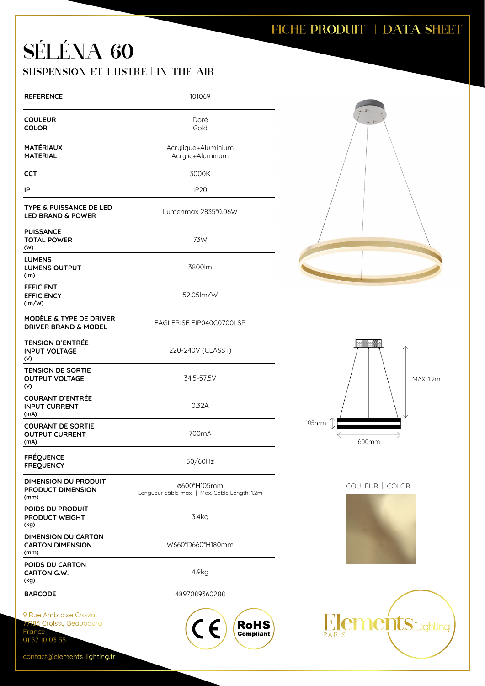## SÉLÉNA 60 SUSPENSION ET LUSTRE | IN THE AIR

| <b>REFERENCE</b>                                                      | 101069                                                       |
|-----------------------------------------------------------------------|--------------------------------------------------------------|
| <b>COULEUR</b><br><b>COLOR</b>                                        | Doré<br>Gold                                                 |
| <b>MATÉRIAUX</b><br><b>MATERIAL</b>                                   | Acrylique+Aluminium<br>Acrylic+Aluminum                      |
| CCT                                                                   | 3000K                                                        |
| IP                                                                    | <b>IP20</b>                                                  |
| TYPE & PUISSANCE DE LED<br><b>LED BRAND &amp; POWER</b>               | Lumenmax 2835*0.06W                                          |
| <b>PUISSANCE</b><br><b>TOTAL POWER</b><br>(W)                         | 73W                                                          |
| <b>LUMENS</b><br><b>LUMENS OUTPUT</b><br>(lm)                         | 3800lm                                                       |
| <b>EFFICIENT</b><br><b>EFFICIENCY</b><br>(lm/W)                       | 52.05lm/W                                                    |
| <b>MODÈLE &amp; TYPE DE DRIVER</b><br><b>DRIVER BRAND &amp; MODEL</b> | EAGLERISE EIP040C0700LSR                                     |
| <b>TENSION D'ENTRÉE</b><br><b>INPUT VOLTAGE</b><br>(V)                | 220-240V (CLASS I)                                           |
| <b>TENSION DE SORTIE</b><br><b>OUTPUT VOLTAGE</b><br>(V)              | 34.5-57.5V                                                   |
| <b>COURANT D'ENTRÉE</b><br><b>INPUT CURRENT</b><br>(mA)               | 0.32A                                                        |
| <b>COURANT DE SORTIE</b><br><b>OUTPUT CURRENT</b><br>(mA)             | 700 <sub>m</sub> A                                           |
| <b>FRÉQUENCE</b><br><b>FREQUENCY</b>                                  | 50/60Hz                                                      |
| DIMENSION DU PRODUIT<br><b>PRODUCT DIMENSION</b><br>(mm)              | ø600*H105mm<br>Longueur câble max.   Max. Cable Length: 1.2m |
| POIDS DU PRODUIT<br><b>PRODUCT WEIGHT</b><br>(kg)                     | 3.4kg                                                        |
| <b>DIMENSION DU CARTON</b><br><b>CARTON DIMENSION</b><br>(mm)         | W660*D660*H180mm                                             |
| POIDS DU CARTON<br><b>CARTON G.W.</b><br>(kg)                         | 4.9kg                                                        |
| <b>BARCODE</b>                                                        | 4897089360288                                                |
| 9 Rue Ambroise Croizat<br>77183 Croissy Beaubourg<br>France           | $(C \in$<br><b>RoHS</b><br>Compliant                         |











contact@elements-lighting.fr

01 57 10 03 55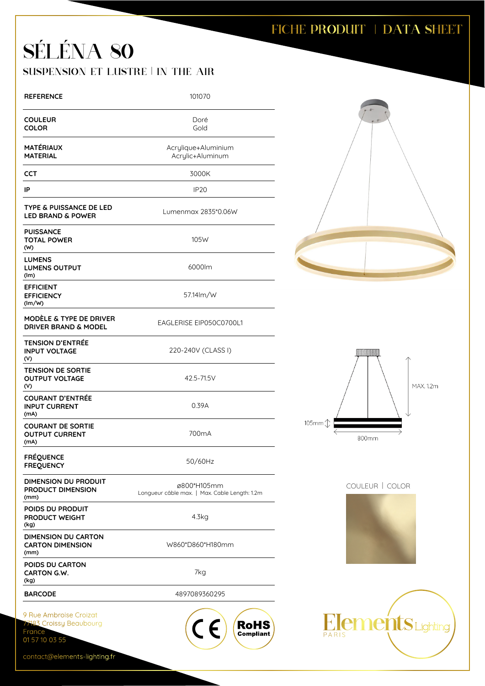## SÉLÉNA 80 SUSPENSION ET LUSTRE | IN THE AIR

| <b>REFERENCE</b>                                                   | 101070                                                       |
|--------------------------------------------------------------------|--------------------------------------------------------------|
| <b>COULEUR</b><br><b>COLOR</b>                                     | Doré<br>Gold                                                 |
| <b>MATÉRIAUX</b><br><b>MATERIAL</b>                                | Acrylique+Aluminium<br>Acrylic+Aluminum                      |
| CCT                                                                | 3000K                                                        |
| IP                                                                 | <b>IP20</b>                                                  |
| <b>TYPE &amp; PUISSANCE DE LED</b><br><b>LED BRAND &amp; POWER</b> | Lumenmax 2835*0.06W                                          |
| <b>PUISSANCE</b><br><b>TOTAL POWER</b><br>(W)                      | 105W                                                         |
| <b>LUMENS</b><br><b>LUMENS OUTPUT</b><br>(lm)                      | 6000lm                                                       |
| <b>EFFICIENT</b><br><b>EFFICIENCY</b><br>(lm/W)                    | 57.14lm/W                                                    |
| MODÈLE & TYPE DE DRIVER<br><b>DRIVER BRAND &amp; MODEL</b>         | EAGLERISE EIP050C0700L1                                      |
| <b>TENSION D'ENTRÉE</b><br><b>INPUT VOLTAGE</b><br>(V)             | 220-240V (CLASS I)                                           |
| <b>TENSION DE SORTIE</b><br><b>OUTPUT VOLTAGE</b><br>(V)           | 42.5-71.5V                                                   |
| <b>COURANT D'ENTREE</b><br><b>INPUT CURRENT</b><br>(mA)            | 0.39A                                                        |
| <b>COURANT DE SORTIE</b><br><b>OUTPUT CURRENT</b><br>(mA)          | 700 <sub>m</sub> A                                           |
| <b>FRÉQUENCE</b><br><b>FREQUENCY</b>                               | 50/60Hz                                                      |
| DIMENSION DU PRODUIT<br><b>PRODUCT DIMENSION</b><br>(mm)           | ø800*H105mm<br>Longueur câble max.   Max. Cable Length: 1.2m |
| POIDS DU PRODUIT<br><b>PRODUCT WEIGHT</b><br>(kg)                  | 4.3kg                                                        |
| <b>DIMENSION DU CARTON</b><br><b>CARTON DIMENSION</b><br>(mm)      | W860*D860*H180mm                                             |
| POIDS DU CARTON<br><b>CARTON G.W.</b><br>(kg)                      | 7kg                                                          |
| <b>BARCODE</b>                                                     | 4897089360295                                                |
| 9 Rue Ambroise Croizat<br>77183 Croissy Beaubourg<br>France        | $C \in$<br><b>RoHS</b><br>Compliant                          |
| 01 57 10 03 55                                                     |                                                              |











contact@elements-lighting.fr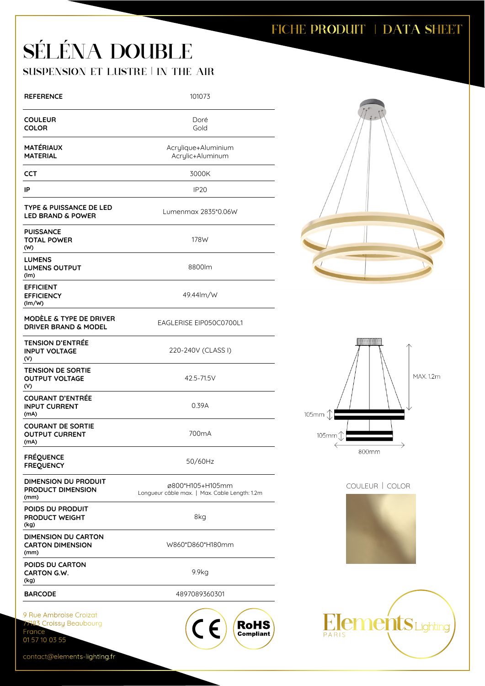# SÉLÉNA DOUBLE SUSPENSION ET LUSTRE | IN THE AIR

| <b>REFERENCE</b>                                                      | 101073                                                            |
|-----------------------------------------------------------------------|-------------------------------------------------------------------|
| <b>COULEUR</b><br><b>COLOR</b>                                        | Doré<br>Gold                                                      |
| MATÉRIAUX<br><b>MATERIAL</b>                                          | Acrylique+Aluminium<br>Acrylic+Aluminum                           |
| CCT                                                                   | 3000K                                                             |
| IP                                                                    | <b>IP20</b>                                                       |
| <b>TYPE &amp; PUISSANCE DE LED</b><br><b>LED BRAND &amp; POWER</b>    | Lumenmax 2835*0.06W                                               |
| <b>PUISSANCE</b><br><b>TOTAL POWER</b><br>(W)                         | 178W                                                              |
| <b>LUMENS</b><br><b>LUMENS OUTPUT</b><br>(lm)                         | 8800lm                                                            |
| <b>EFFICIENT</b><br><b>EFFICIENCY</b><br>(lm/W)                       | 49.44lm/W                                                         |
| <b>MODÈLE &amp; TYPE DE DRIVER</b><br><b>DRIVER BRAND &amp; MODEL</b> | EAGLERISE EIP050C0700L1                                           |
| <b>TENSION D'ENTRÉE</b><br><b>INPUT VOLTAGE</b><br>(V)                | 220-240V (CLASS I)                                                |
| <b>TENSION DE SORTIE</b><br><b>OUTPUT VOLTAGE</b><br>(V)              | 42.5-71.5V                                                        |
| <b>COURANT D'ENTREE</b><br><b>INPUT CURRENT</b><br>(mA)               | 0.39A                                                             |
| <b>COURANT DE SORTIE</b><br><b>OUTPUT CURRENT</b><br>(mA)             | 700 <sub>m</sub> A                                                |
| <b>FRÉQUENCE</b><br><b>FREQUENCY</b>                                  | 50/60Hz                                                           |
| DIMENSION DU PRODUIT<br><b>PRODUCT DIMENSION</b><br>(mm)              | ø800*H105+H105mm<br>Longueur câble max.   Max. Cable Length: 1.2m |
| POIDS DU PRODUIT<br><b>PRODUCT WEIGHT</b><br>(kg)                     | 8kg                                                               |
| <b>DIMENSION DU CARTON</b><br><b>CARTON DIMENSION</b><br>(mm)         | W860*D860*H180mm                                                  |
| POIDS DU CARTON<br><b>CARTON G.W.</b><br>(kg)                         | 9.9kg                                                             |
| <b>BARCODE</b>                                                        | 4897089360301                                                     |
| 9 Rue Ambroise Croizat<br>77183 Croissy Beaubourg<br>France           | $(C \in)$ RoHS                                                    |





COULEUR | COLOR





contact@elements-lighting.fr

01 57 10 03 55